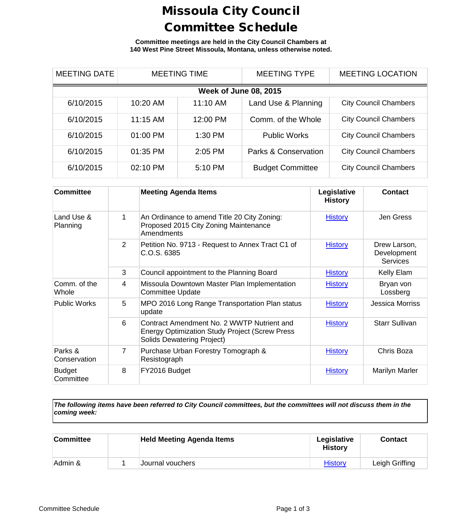## Missoula City Council Committee Schedule

**Committee meetings are held in the City Council Chambers at 140 West Pine Street Missoula, Montana, unless otherwise noted.**

| <b>MEETING DATE</b>          | <b>MEETING TIME</b> |           | <b>MEETING TYPE</b>     | <b>MEETING LOCATION</b>      |  |  |
|------------------------------|---------------------|-----------|-------------------------|------------------------------|--|--|
| <b>Week of June 08, 2015</b> |                     |           |                         |                              |  |  |
| 6/10/2015                    | 10:20 AM            | 11:10 AM  | Land Use & Planning     | <b>City Council Chambers</b> |  |  |
| 6/10/2015                    | 11:15 AM            | 12:00 PM  | Comm. of the Whole      | <b>City Council Chambers</b> |  |  |
| 6/10/2015                    | 01:00 PM            | $1:30$ PM | <b>Public Works</b>     | <b>City Council Chambers</b> |  |  |
| 6/10/2015                    | 01:35 PM            | 2:05 PM   | Parks & Conservation    | <b>City Council Chambers</b> |  |  |
| 6/10/2015                    | 02:10 PM            | 5:10 PM   | <b>Budget Committee</b> | <b>City Council Chambers</b> |  |  |

| <b>Committee</b>           |   | <b>Meeting Agenda Items</b>                                                                                                              | Legislative<br><b>History</b> | <b>Contact</b>                                 |
|----------------------------|---|------------------------------------------------------------------------------------------------------------------------------------------|-------------------------------|------------------------------------------------|
| Land Use &<br>Planning     | 1 | An Ordinance to amend Title 20 City Zoning:<br>Proposed 2015 City Zoning Maintenance<br><b>Amendments</b>                                | <b>History</b>                | Jen Gress                                      |
|                            | 2 | Petition No. 9713 - Request to Annex Tract C1 of<br>C.O.S. 6385                                                                          | <b>History</b>                | Drew Larson,<br>Development<br><b>Services</b> |
|                            | 3 | Council appointment to the Planning Board                                                                                                | <b>History</b>                | Kelly Elam                                     |
| Comm. of the<br>Whole      | 4 | Missoula Downtown Master Plan Implementation<br><b>Committee Update</b>                                                                  | <b>History</b>                | Bryan von<br>Lossberg                          |
| <b>Public Works</b>        | 5 | MPO 2016 Long Range Transportation Plan status<br>update                                                                                 | <b>History</b>                | <b>Jessica Morriss</b>                         |
|                            | 6 | Contract Amendment No. 2 WWTP Nutrient and<br><b>Energy Optimization Study Project (Screw Press</b><br><b>Solids Dewatering Project)</b> | <b>History</b>                | <b>Starr Sullivan</b>                          |
| Parks &<br>Conservation    | 7 | Purchase Urban Forestry Tomograph &<br>Resistograph                                                                                      | <b>History</b>                | Chris Boza                                     |
| <b>Budget</b><br>Committee | 8 | FY2016 Budget                                                                                                                            | <b>History</b>                | Marilyn Marler                                 |

*The following items have been referred to City Council committees, but the committees will not discuss them in the coming week:*

| Committee | <b>Held Meeting Agenda Items</b> | Legislative<br><b>History</b> | <b>Contact</b> |
|-----------|----------------------------------|-------------------------------|----------------|
| Admin &   | Journal vouchers                 | <b>History</b>                | Leigh Griffing |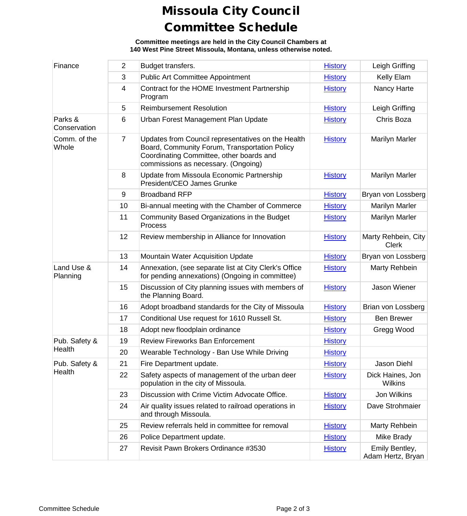## Missoula City Council Committee Schedule

**Committee meetings are held in the City Council Chambers at 140 West Pine Street Missoula, Montana, unless otherwise noted.**

| Finance                 | $\overline{2}$ | Budget transfers.                                                                                                                                                                      | <b>History</b> | Leigh Griffing                      |
|-------------------------|----------------|----------------------------------------------------------------------------------------------------------------------------------------------------------------------------------------|----------------|-------------------------------------|
|                         | 3              | <b>Public Art Committee Appointment</b>                                                                                                                                                | <b>History</b> | Kelly Elam                          |
|                         | 4              | Contract for the HOME Investment Partnership<br>Program                                                                                                                                | <b>History</b> | Nancy Harte                         |
|                         | 5              | <b>Reimbursement Resolution</b>                                                                                                                                                        | <b>History</b> | Leigh Griffing                      |
| Parks &<br>Conservation | 6              | Urban Forest Management Plan Update                                                                                                                                                    | <b>History</b> | Chris Boza                          |
| Comm. of the<br>Whole   | $\overline{7}$ | Updates from Council representatives on the Health<br>Board, Community Forum, Transportation Policy<br>Coordinating Committee, other boards and<br>commissions as necessary. (Ongoing) | <b>History</b> | <b>Marilyn Marler</b>               |
|                         | 8              | Update from Missoula Economic Partnership<br>President/CEO James Grunke                                                                                                                | <b>History</b> | <b>Marilyn Marler</b>               |
|                         | 9              | <b>Broadband RFP</b>                                                                                                                                                                   | <b>History</b> | Bryan von Lossberg                  |
|                         | 10             | Bi-annual meeting with the Chamber of Commerce                                                                                                                                         | <b>History</b> | Marilyn Marler                      |
|                         | 11             | Community Based Organizations in the Budget<br>Process                                                                                                                                 | <b>History</b> | Marilyn Marler                      |
|                         | 12             | Review membership in Alliance for Innovation                                                                                                                                           | <b>History</b> | Marty Rehbein, City<br><b>Clerk</b> |
|                         | 13             | Mountain Water Acquisition Update                                                                                                                                                      | <b>History</b> | Bryan von Lossberg                  |
| Land Use &<br>Planning  | 14             | Annexation, (see separate list at City Clerk's Office<br>for pending annexations) (Ongoing in committee)                                                                               | <b>History</b> | Marty Rehbein                       |
|                         | 15             | Discussion of City planning issues with members of<br>the Planning Board.                                                                                                              | <b>History</b> | Jason Wiener                        |
|                         | 16             | Adopt broadband standards for the City of Missoula                                                                                                                                     | <b>History</b> | Brian von Lossberg                  |
|                         | 17             | Conditional Use request for 1610 Russell St.                                                                                                                                           | <b>History</b> | <b>Ben Brewer</b>                   |
|                         | 18             | Adopt new floodplain ordinance                                                                                                                                                         | <b>History</b> | Gregg Wood                          |
| Pub. Safety &           | 19             | <b>Review Fireworks Ban Enforcement</b>                                                                                                                                                | <b>History</b> |                                     |
| Health                  | 20             | Wearable Technology - Ban Use While Driving                                                                                                                                            | <b>History</b> |                                     |
| Pub. Safety &           | 21             | Fire Department update.                                                                                                                                                                | <b>History</b> | Jason Diehl                         |
| Health                  | 22             | Safety aspects of management of the urban deer<br>population in the city of Missoula.                                                                                                  | <b>History</b> | Dick Haines, Jon<br><b>Wilkins</b>  |
|                         | 23             | Discussion with Crime Victim Advocate Office.                                                                                                                                          | <b>History</b> | Jon Wilkins                         |
|                         | 24             | Air quality issues related to railroad operations in<br>and through Missoula.                                                                                                          | <b>History</b> | Dave Strohmaier                     |
|                         | 25             | Review referrals held in committee for removal                                                                                                                                         | <b>History</b> | Marty Rehbein                       |
|                         | 26             | Police Department update.                                                                                                                                                              | <b>History</b> | Mike Brady                          |
|                         | 27             | Revisit Pawn Brokers Ordinance #3530                                                                                                                                                   | <b>History</b> | Emily Bentley,<br>Adam Hertz, Bryan |